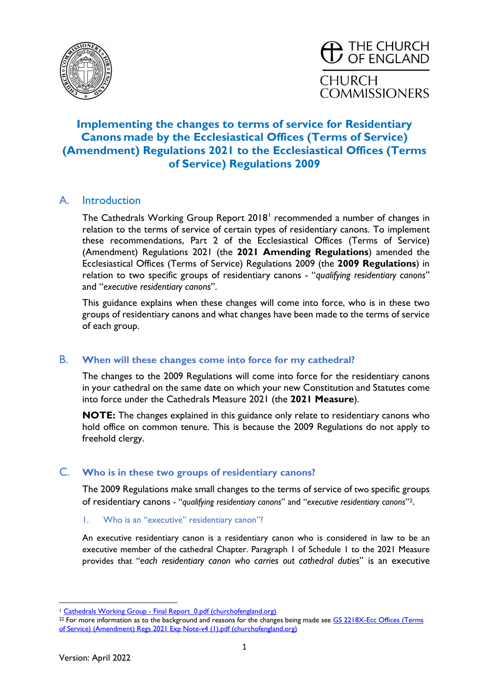

# **Implementing the changes to terms of service for Residentiary Canons made by the Ecclesiastical Offices (Terms of Service) (Amendment) Regulations 2021 to the Ecclesiastical Offices (Terms of Service) Regulations 2009**

# A. Introduction

The Cathedrals Working Group Report 20[1](#page-0-0)8<sup>1</sup> recommended a number of changes in relation to the terms of service of certain types of residentiary canons. To implement these recommendations, Part 2 of the Ecclesiastical Offices (Terms of Service) (Amendment) Regulations 2021 (the **2021 Amending Regulations**) amended the Ecclesiastical Offices (Terms of Service) Regulations 2009 (the **2009 Regulations**) in relation to two specific groups of residentiary canons - "*qualifying residentiary canons*" and "*executive residentiary canons*".

This guidance explains when these changes will come into force, who is in these two groups of residentiary canons and what changes have been made to the terms of service of each group.

## B. **When will these changes come into force for my cathedral?**

The changes to the 2009 Regulations will come into force for the residentiary canons in your cathedral on the same date on which your new Constitution and Statutes come into force under the Cathedrals Measure 2021 (the **2021 Measure**).

**NOTE:** The changes explained in this guidance only relate to residentiary canons who hold office on common tenure. This is because the 2009 Regulations do not apply to freehold clergy.

## C. **Who is in these two groups of residentiary canons?**

The 2009 Regulations make small changes to the terms of service of two specific groups of residentiary canons - "*qualifying residentiary canons*" and "*executive residentiary canons*"[2](#page-0-1).

#### 1. Who is an "executive" residentiary canon"?

An executive residentiary canon is a residentiary canon who is considered in law to be an executive member of the cathedral Chapter. Paragraph 1 of Schedule 1 to the 2021 Measure provides that "*each residentiary canon who carries out cathedral duties*" is an executive

<sup>&</sup>lt;sup>1</sup> Cathedrals Working Group - Final Report 0.pdf (churchofengland.org)

<span id="page-0-1"></span><span id="page-0-0"></span><sup>&</sup>lt;sup>22</sup> For more information as to the background and reasons for the changes being made see GS 2218X-Ecc Offices (Terms [of Service\) \(Amendment\) Regs 2021 Exp Note-v4 \(1\).pdf \(churchofengland.org\)](https://www.churchofengland.org/sites/default/files/2021-06/GS%202218X-Ecc%20Offices%20%28Terms%20of%20Service%29%20%28Amendment%29%20Regs%202021%20Exp%20Note-v4%20%281%29.pdf)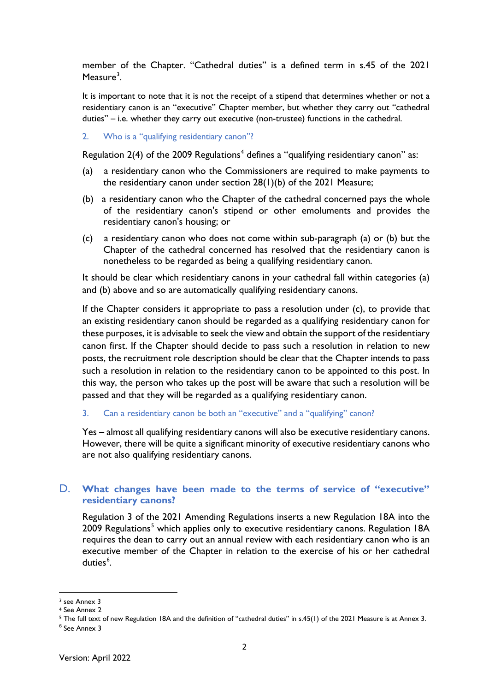member of the Chapter. "Cathedral duties" is a defined term in s.45 of the 2021 Measure $^3$  $^3$ .

It is important to note that it is not the receipt of a stipend that determines whether or not a residentiary canon is an "executive" Chapter member, but whether they carry out "cathedral duties" – i.e. whether they carry out executive (non-trustee) functions in the cathedral.

2. Who is a "qualifying residentiary canon"?

Regulation 2([4](#page-1-1)) of the 2009 Regulations<sup>4</sup> defines a "qualifying residentiary canon" as:

- (a) a residentiary canon who the Commissioners are required to make payments to the residentiary canon under section 28(1)(b) of the 2021 [Measure;](https://www.lexisnexis.com/uk/legal/search/enhRunRemoteLink.do?linkInfo=F%23GB%23UK_LEG%23num%252021_2m_Title%25&A=0.6222826192544063&backKey=20_T394961198&service=citation&ersKey=23_T394961197&langcountry=GB)
- (b) a residentiary canon who the Chapter of the cathedral concerned pays the whole of the residentiary canon's stipend or other emoluments and provides the residentiary canon's housing; or
- (c) a residentiary canon who does not come within sub-paragraph (a) or (b) but the Chapter of the cathedral concerned has resolved that the residentiary canon is nonetheless to be regarded as being a qualifying residentiary canon.

It should be clear which residentiary canons in your cathedral fall within categories (a) and (b) above and so are automatically qualifying residentiary canons.

If the Chapter considers it appropriate to pass a resolution under (c), to provide that an existing residentiary canon should be regarded as a qualifying residentiary canon for these purposes, it is advisable to seek the view and obtain the support of the residentiary canon first. If the Chapter should decide to pass such a resolution in relation to new posts, the recruitment role description should be clear that the Chapter intends to pass such a resolution in relation to the residentiary canon to be appointed to this post. In this way, the person who takes up the post will be aware that such a resolution will be passed and that they will be regarded as a qualifying residentiary canon.

3. Can a residentiary canon be both an "executive" and a "qualifying" canon?

Yes – almost all qualifying residentiary canons will also be executive residentiary canons. However, there will be quite a significant minority of executive residentiary canons who are not also qualifying residentiary canons.

### D. **What changes have been made to the terms of service of "executive" residentiary canons?**

Regulation 3 of the 2021 Amending Regulations inserts a new Regulation 18A into the 2009 Regulations<sup>[5](#page-1-2)</sup> which applies only to executive residentiary canons. Regulation 18A requires the dean to carry out an annual review with each residentiary canon who is an executive member of the Chapter in relation to the exercise of his or her cathedral duties<sup>[6](#page-1-3)</sup>.

<span id="page-1-0"></span><sup>3</sup> see Annex 3

<span id="page-1-1"></span><sup>4</sup> See Annex 2

<span id="page-1-2"></span><sup>5</sup> The full text of new Regulation 18A and the definition of "cathedral duties" in s.45(1) of the 2021 Measure is at Annex 3.

<span id="page-1-3"></span><sup>6</sup> See Annex 3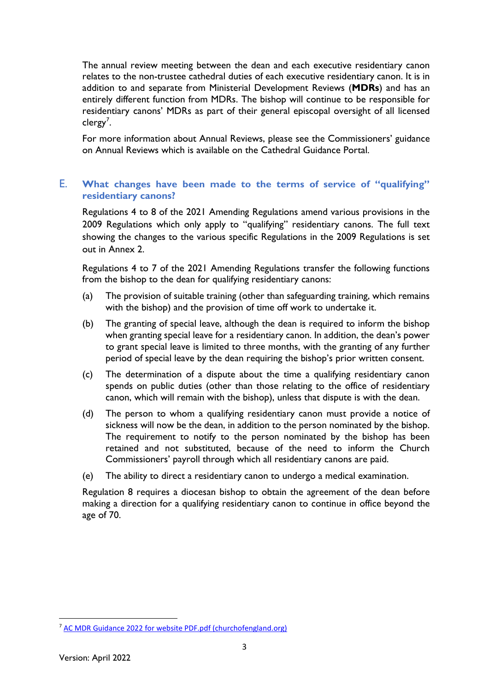The annual review meeting between the dean and each executive residentiary canon relates to the non-trustee cathedral duties of each executive residentiary canon. It is in addition to and separate from Ministerial Development Reviews (**MDRs**) and has an entirely different function from MDRs. The bishop will continue to be responsible for residentiary canons' MDRs as part of their general episcopal oversight of all licensed clergy<sup>[7](#page-2-0)</sup>.

For more information about Annual Reviews, please see the Commissioners' guidance on Annual Reviews which is available on the Cathedral Guidance Portal.

## E. **What changes have been made to the terms of service of "qualifying" residentiary canons?**

Regulations 4 to 8 of the 2021 Amending Regulations amend various provisions in the 2009 Regulations which only apply to "qualifying" residentiary canons. The full text showing the changes to the various specific Regulations in the 2009 Regulations is set out in Annex 2.

Regulations 4 to 7 of the 2021 Amending Regulations transfer the following functions from the bishop to the dean for qualifying residentiary canons:

- (a) The provision of suitable training (other than safeguarding training, which remains with the bishop) and the provision of time off work to undertake it.
- (b) The granting of special leave, although the dean is required to inform the bishop when granting special leave for a residentiary canon. In addition, the dean's power to grant special leave is limited to three months, with the granting of any further period of special leave by the dean requiring the bishop's prior written consent.
- (c) The determination of a dispute about the time a qualifying residentiary canon spends on public duties (other than those relating to the office of residentiary canon, which will remain with the bishop), unless that dispute is with the dean.
- (d) The person to whom a qualifying residentiary canon must provide a notice of sickness will now be the dean, in addition to the person nominated by the bishop. The requirement to notify to the person nominated by the bishop has been retained and not substituted, because of the need to inform the Church Commissioners' payroll through which all residentiary canons are paid.
- (e) The ability to direct a residentiary canon to undergo a medical examination.

Regulation 8 requires a diocesan bishop to obtain the agreement of the dean before making a direction for a qualifying residentiary canon to continue in office beyond the age of 70.

<span id="page-2-0"></span><sup>7</sup> [AC MDR Guidance 2022 for website PDF.pdf \(churchofengland.org\)](https://www.churchofengland.org/sites/default/files/2022-04/AC%20MDR%20Guidance%202022%20for%20website%20PDF.pdf)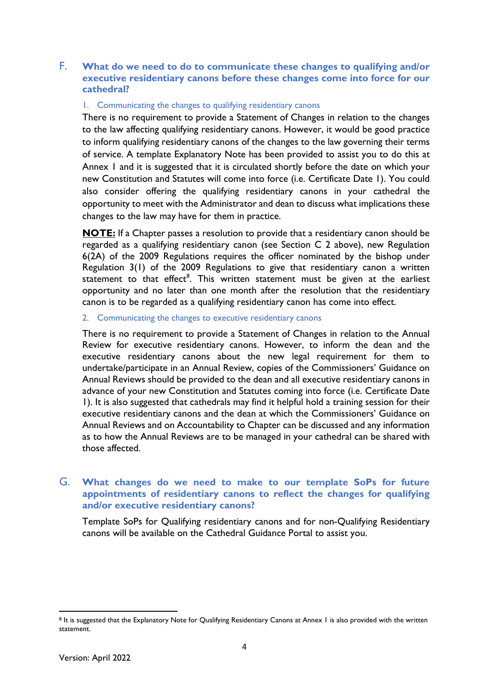## F. **What do we need to do to communicate these changes to qualifying and/or executive residentiary canons before these changes come into force for our cathedral?**

#### 1. Communicating the changes to qualifying residentiary canons

There is no requirement to provide a Statement of Changes in relation to the changes to the law affecting qualifying residentiary canons. However, it would be good practice to inform qualifying residentiary canons of the changes to the law governing their terms of service. A template Explanatory Note has been provided to assist you to do this at Annex 1 and it is suggested that it is circulated shortly before the date on which your new Constitution and Statutes will come into force (i.e. Certificate Date 1). You could also consider offering the qualifying residentiary canons in your cathedral the opportunity to meet with the Administrator and dean to discuss what implications these changes to the law may have for them in practice.

**NOTE:** If a Chapter passes a resolution to provide that a residentiary canon should be regarded as a qualifying residentiary canon (see Section C 2 above), new Regulation 6(2A) of the 2009 Regulations requires the officer nominated by the bishop under Regulation 3(1) of the 2009 Regulations to give that residentiary canon a written statement to that effect $^8$  $^8$ . This written statement must be given at the earliest opportunity and no later than one month after the resolution that the residentiary canon is to be regarded as a qualifying residentiary canon has come into effect.

#### 2. Communicating the changes to executive residentiary canons

There is no requirement to provide a Statement of Changes in relation to the Annual Review for executive residentiary canons. However, to inform the dean and the executive residentiary canons about the new legal requirement for them to undertake/participate in an Annual Review, copies of the Commissioners' Guidance on Annual Reviews should be provided to the dean and all executive residentiary canons in advance of your new Constitution and Statutes coming into force (i.e. Certificate Date 1). It is also suggested that cathedrals may find it helpful hold a training session for their executive residentiary canons and the dean at which the Commissioners' Guidance on Annual Reviews and on Accountability to Chapter can be discussed and any information as to how the Annual Reviews are to be managed in your cathedral can be shared with those affected.

### G. **What changes do we need to make to our template SoPs for future appointments of residentiary canons to reflect the changes for qualifying and/or executive residentiary canons?**

Template SoPs for Qualifying residentiary canons and for non-Qualifying Residentiary canons will be available on the Cathedral Guidance Portal to assist you.

<span id="page-3-0"></span><sup>8</sup> It is suggested that the Explanatory Note for Qualifying Residentiary Canons at Annex 1 is also provided with the written statement.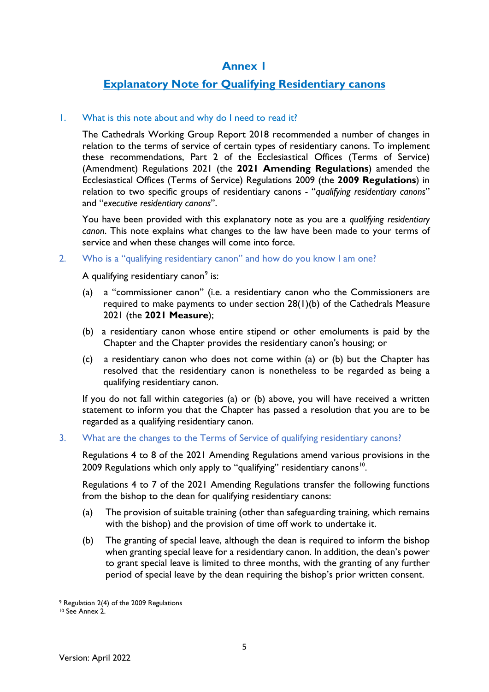# **Annex 1**

# **Explanatory Note for Qualifying Residentiary canons**

### 1. What is this note about and why do I need to read it?

The Cathedrals Working Group Report 2018 recommended a number of changes in relation to the terms of service of certain types of residentiary canons. To implement these recommendations, Part 2 of the Ecclesiastical Offices (Terms of Service) (Amendment) Regulations 2021 (the **2021 Amending Regulations**) amended the Ecclesiastical Offices (Terms of Service) Regulations 2009 (the **2009 Regulations**) in relation to two specific groups of residentiary canons - "*qualifying residentiary canons*" and "*executive residentiary canons*".

You have been provided with this explanatory note as you are a *qualifying residentiary canon*. This note explains what changes to the law have been made to your terms of service and when these changes will come into force.

#### 2. Who is a "qualifying residentiary canon" and how do you know I am one?

A qualifying residentiary canon $^{\circ}$  is:

- (a) a "commissioner canon" (i.e. a residentiary canon who the Commissioners are required to make payments to under section 28(1)(b) of the [Cathedrals Measure](https://www.lexisnexis.com/uk/legal/search/enhRunRemoteLink.do?linkInfo=F%23GB%23UK_LEG%23num%252021_2m_Title%25&A=0.6222826192544063&backKey=20_T394961198&service=citation&ersKey=23_T394961197&langcountry=GB) 2021 (the **2021 Measure**);
- (b) a residentiary canon whose entire stipend or other emoluments is paid by the Chapter and the Chapter provides the residentiary canon's housing; or
- (c) a residentiary canon who does not come within (a) or (b) but the Chapter has resolved that the residentiary canon is nonetheless to be regarded as being a qualifying residentiary canon.

If you do not fall within categories (a) or (b) above, you will have received a written statement to inform you that the Chapter has passed a resolution that you are to be regarded as a qualifying residentiary canon.

### 3. What are the changes to the Terms of Service of qualifying residentiary canons?

Regulations 4 to 8 of the 2021 Amending Regulations amend various provisions in the 2009 Regulations which only apply to "qualifying" residentiary canons<sup>[10](#page-4-1)</sup>.

Regulations 4 to 7 of the 2021 Amending Regulations transfer the following functions from the bishop to the dean for qualifying residentiary canons:

- (a) The provision of suitable training (other than safeguarding training, which remains with the bishop) and the provision of time off work to undertake it.
- (b) The granting of special leave, although the dean is required to inform the bishop when granting special leave for a residentiary canon. In addition, the dean's power to grant special leave is limited to three months, with the granting of any further period of special leave by the dean requiring the bishop's prior written consent.

<span id="page-4-0"></span><sup>9</sup> Regulation 2(4) of the 2009 Regulations

<span id="page-4-1"></span><sup>10</sup> See Annex 2.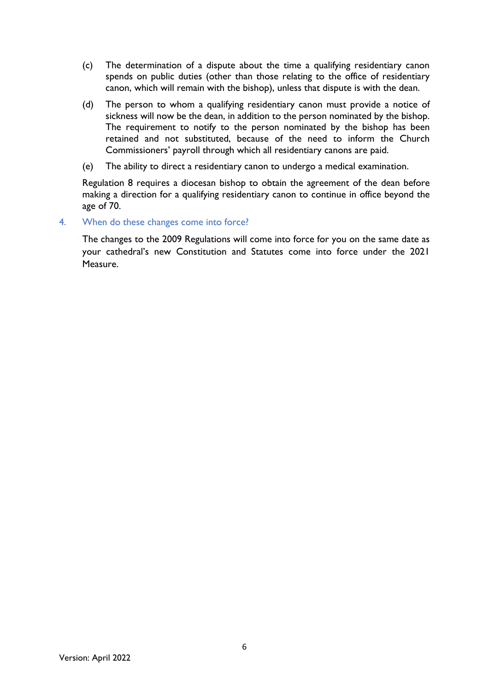- (c) The determination of a dispute about the time a qualifying residentiary canon spends on public duties (other than those relating to the office of residentiary canon, which will remain with the bishop), unless that dispute is with the dean.
- (d) The person to whom a qualifying residentiary canon must provide a notice of sickness will now be the dean, in addition to the person nominated by the bishop. The requirement to notify to the person nominated by the bishop has been retained and not substituted, because of the need to inform the Church Commissioners' payroll through which all residentiary canons are paid.
- (e) The ability to direct a residentiary canon to undergo a medical examination.

Regulation 8 requires a diocesan bishop to obtain the agreement of the dean before making a direction for a qualifying residentiary canon to continue in office beyond the age of 70.

### 4. When do these changes come into force?

The changes to the 2009 Regulations will come into force for you on the same date as your cathedral's new Constitution and Statutes come into force under the 2021 Measure.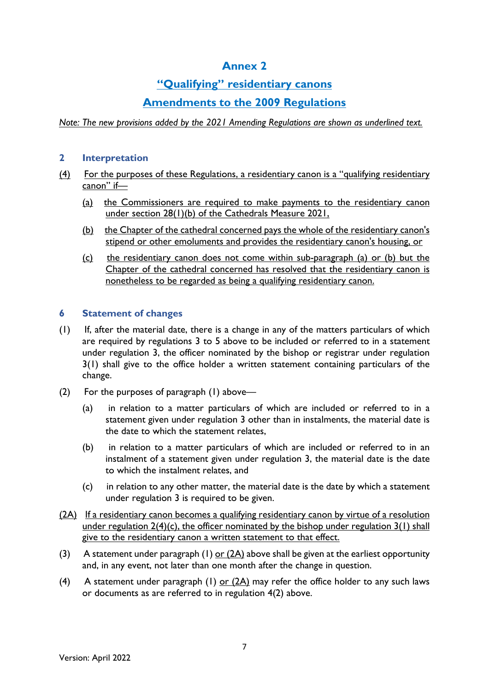# **Annex 2**

# **"Qualifying" residentiary canons**

# **Amendments to the 2009 Regulations**

*Note: The new provisions added by the 2021 Amending Regulations are shown as underlined text.*

### **2 Interpretation**

- (4) For the purposes of these Regulations, a residentiary canon is a "qualifying residentiary canon" if—
	- (a) the Commissioners are required to make payments to the residentiary canon under section 28(1)(b) of the [Cathedrals Measure 2021,](https://www.lexisnexis.com/uk/legal/search/enhRunRemoteLink.do?linkInfo=F%23GB%23UK_LEG%23num%252021_2m_Title%25&A=0.6222826192544063&backKey=20_T394961198&service=citation&ersKey=23_T394961197&langcountry=GB)
	- (b) the Chapter of the cathedral concerned pays the whole of the residentiary canon's stipend or other emoluments and provides the residentiary canon's housing, or
	- (c) the residentiary canon does not come within sub-paragraph (a) or (b) but the Chapter of the cathedral concerned has resolved that the residentiary canon is nonetheless to be regarded as being a qualifying residentiary canon.

### **6 Statement of changes**

- (1) If, after the material date, there is a change in any of the matters particulars of which are required by regulations 3 to 5 above to be included or referred to in a statement under regulation 3, the officer nominated by the bishop or registrar under regulation 3(1) shall give to the office holder a written statement containing particulars of the change.
- (2) For the purposes of paragraph (1) above—
	- (a) in relation to a matter particulars of which are included or referred to in a statement given under regulation 3 other than in instalments, the material date is the date to which the statement relates,
	- (b) in relation to a matter particulars of which are included or referred to in an instalment of a statement given under regulation 3, the material date is the date to which the instalment relates, and
	- (c) in relation to any other matter, the material date is the date by which a statement under regulation 3 is required to be given.
- (2A) If a residentiary canon becomes a qualifying residentiary canon by virtue of a resolution under regulation  $2(4)(c)$ , the officer nominated by the bishop under regulation  $3(1)$  shall give to the residentiary canon a written statement to that effect.
- (3) A statement under paragraph (1) or  $(2A)$  above shall be given at the earliest opportunity and, in any event, not later than one month after the change in question.
- (4) A statement under paragraph (1) or  $(2A)$  may refer the office holder to any such laws or documents as are referred to in regulation 4(2) above.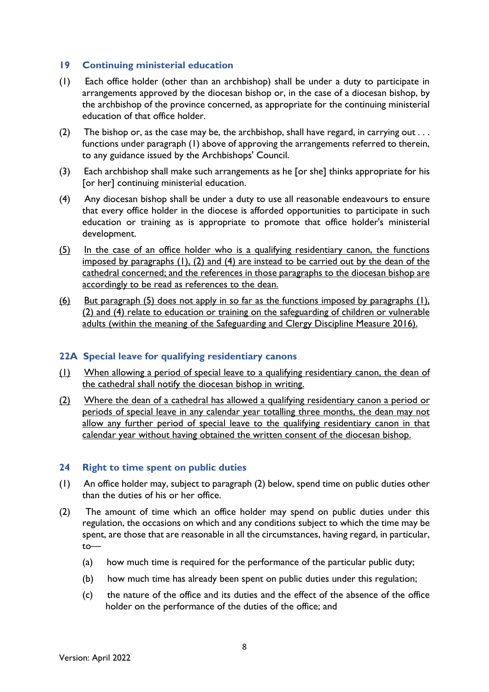### **19 Continuing ministerial education**

- (1) Each office holder (other than an archbishop) shall be under a duty to participate in arrangements approved by the diocesan bishop or, in the case of a diocesan bishop, by the archbishop of the province concerned, as appropriate for the continuing ministerial education of that office holder.
- (2) The bishop or, as the case may be, the archbishop, shall have regard, in carrying out  $\dots$ functions under paragraph (1) above of approving the arrangements referred to therein, to any guidance issued by the Archbishops' Council.
- (3) Each archbishop shall make such arrangements as he [or she] thinks appropriate for his [or her] continuing ministerial education.
- (4) Any diocesan bishop shall be under a duty to use all reasonable endeavours to ensure that every office holder in the diocese is afforded opportunities to participate in such education or training as is appropriate to promote that office holder's ministerial development.
- (5) In the case of an office holder who is a qualifying residentiary canon, the functions imposed by paragraphs (1), (2) and (4) are instead to be carried out by the dean of the cathedral concerned; and the references in those paragraphs to the diocesan bishop are accordingly to be read as references to the dean.
- (6) But paragraph (5) does not apply in so far as the functions imposed by paragraphs (1), (2) and (4) relate to education or training on the safeguarding of children or vulnerable adults (within the meaning of the [Safeguarding and Clergy Discipline Measure 2016\)](https://www.lexisnexis.com/uk/legal/search/enhRunRemoteLink.do?linkInfo=F%23GB%23UK_LEG%23num%252016_1m_Title%25&A=0.5046706252437958&backKey=20_T394956685&service=citation&ersKey=23_T394956684&langcountry=GB).

### **22A Special leave for qualifying residentiary canons**

- (1) When allowing a period of special leave to a qualifying residentiary canon, the dean of the cathedral shall notify the diocesan bishop in writing.
- (2) Where the dean of a cathedral has allowed a qualifying residentiary canon a period or periods of special leave in any calendar year totalling three months, the dean may not allow any further period of special leave to the qualifying residentiary canon in that calendar year without having obtained the written consent of the diocesan bishop.

#### **24 Right to time spent on public duties**

- (1) An office holder may, subject to paragraph (2) below, spend time on public duties other than the duties of his or her office.
- (2) The amount of time which an office holder may spend on public duties under this regulation, the occasions on which and any conditions subject to which the time may be spent, are those that are reasonable in all the circumstances, having regard, in particular, to—
	- (a) how much time is required for the performance of the particular public duty;
	- (b) how much time has already been spent on public duties under this regulation;
	- (c) the nature of the office and its duties and the effect of the absence of the office holder on the performance of the duties of the office; and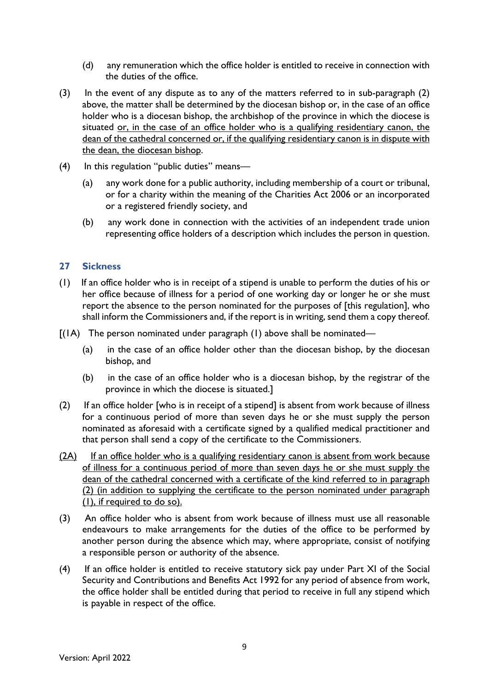- (d) any remuneration which the office holder is entitled to receive in connection with the duties of the office.
- (3) In the event of any dispute as to any of the matters referred to in sub-paragraph (2) above, the matter shall be determined by the diocesan bishop or, in the case of an office holder who is a diocesan bishop, the archbishop of the province in which the diocese is situated or, in the case of an office holder who is a qualifying residentiary canon, the dean of the cathedral concerned or, if the qualifying residentiary canon is in dispute with the dean, the diocesan bishop.
- (4) In this regulation "public duties" means—
	- (a) any work done for a public authority, including membership of a court or tribunal, or for a charity within the meaning of the [Charities Act 2006](https://www.lexisnexis.com/uk/legal/search/enhRunRemoteLink.do?linkInfo=F%23GB%23UK_LEG%23num%252006_50a_Title%25&A=0.4193222548723953&backKey=20_T394959043&service=citation&ersKey=23_T394959042&langcountry=GB) or an incorporated or a registered friendly society, and
	- (b) any work done in connection with the activities of an independent trade union representing office holders of a description which includes the person in question.

### **27 Sickness**

- (1) If an office holder who is in receipt of a stipend is unable to perform the duties of his or her office because of illness for a period of one working day or longer he or she must report the absence to the person nominated for the purposes of [this regulation], who shall inform the Commissioners and, if the report is in writing, send them a copy thereof.
- $[(1A)$  The person nominated under paragraph  $(1)$  above shall be nominated—
	- (a) in the case of an office holder other than the diocesan bishop, by the diocesan bishop, and
	- (b) in the case of an office holder who is a diocesan bishop, by the registrar of the province in which the diocese is situated.]
- (2) If an office holder [who is in receipt of a stipend] is absent from work because of illness for a continuous period of more than seven days he or she must supply the person nominated as aforesaid with a certificate signed by a qualified medical practitioner and that person shall send a copy of the certificate to the Commissioners.
- (2A) If an office holder who is a qualifying residentiary canon is absent from work because of illness for a continuous period of more than seven days he or she must supply the dean of the cathedral concerned with a certificate of the kind referred to in paragraph (2) (in addition to supplying the certificate to the person nominated under paragraph (1), if required to do so).
- (3) An office holder who is absent from work because of illness must use all reasonable endeavours to make arrangements for the duties of the office to be performed by another person during the absence which may, where appropriate, consist of notifying a responsible person or authority of the absence.
- (4) If an office holder is entitled to receive statutory sick pay under Part XI of the Social Security and Contributions and Benefits Act 1992 for any period of absence from work, the office holder shall be entitled during that period to receive in full any stipend which is payable in respect of the office.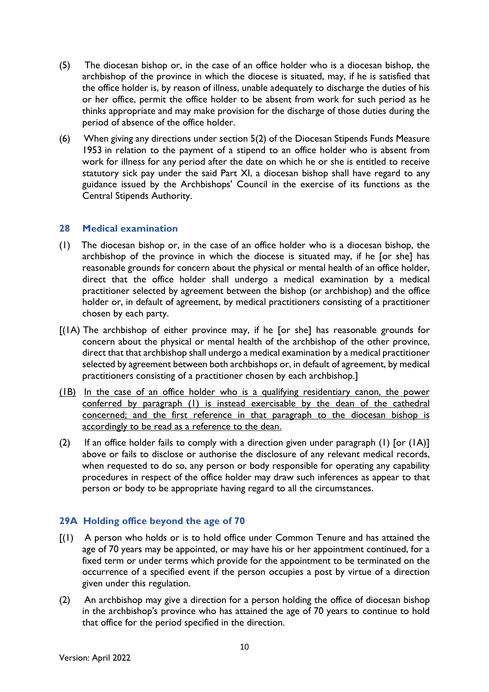- (5) The diocesan bishop or, in the case of an office holder who is a diocesan bishop, the archbishop of the province in which the diocese is situated, may, if he is satisfied that the office holder is, by reason of illness, unable adequately to discharge the duties of his or her office, permit the office holder to be absent from work for such period as he thinks appropriate and may make provision for the discharge of those duties during the period of absence of the office holder.
- (6) When giving any directions under section 5(2) of the [Diocesan Stipends Funds Measure](https://www.lexisnexis.com/uk/legal/search/enhRunRemoteLink.do?linkInfo=F%23GB%23UK_LEG%23num%251953_2m_Title%25&A=0.6225078020326068&backKey=20_T394959097&service=citation&ersKey=23_T394959095&langcountry=GB)  [1953](https://www.lexisnexis.com/uk/legal/search/enhRunRemoteLink.do?linkInfo=F%23GB%23UK_LEG%23num%251953_2m_Title%25&A=0.6225078020326068&backKey=20_T394959097&service=citation&ersKey=23_T394959095&langcountry=GB) in relation to the payment of a stipend to an office holder who is absent from work for illness for any period after the date on which he or she is entitled to receive statutory sick pay under the said Part XI, a diocesan bishop shall have regard to any guidance issued by the Archbishops' Council in the exercise of its functions as the Central Stipends Authority.

### **28 Medical examination**

- (1) The diocesan bishop or, in the case of an office holder who is a diocesan bishop, the archbishop of the province in which the diocese is situated may, if he [or she] has reasonable grounds for concern about the physical or mental health of an office holder, direct that the office holder shall undergo a medical examination by a medical practitioner selected by agreement between the bishop (or archbishop) and the office holder or, in default of agreement, by medical practitioners consisting of a practitioner chosen by each party.
- [(1A) The archbishop of either province may, if he [or she] has reasonable grounds for concern about the physical or mental health of the archbishop of the other province, direct that that archbishop shall undergo a medical examination by a medical practitioner selected by agreement between both archbishops or, in default of agreement, by medical practitioners consisting of a practitioner chosen by each archbishop.]
- (1B) In the case of an office holder who is a qualifying residentiary canon, the power conferred by paragraph (1) is instead exercisable by the dean of the cathedral concerned; and the first reference in that paragraph to the diocesan bishop is accordingly to be read as a reference to the dean.
- (2) If an office holder fails to comply with a direction given under paragraph (1) [or (1A)] above or fails to disclose or authorise the disclosure of any relevant medical records, when requested to do so, any person or body responsible for operating any capability procedures in respect of the office holder may draw such inferences as appear to that person or body to be appropriate having regard to all the circumstances.

## **29A Holding office beyond the age of 70**

- [(1) A person who holds or is to hold office under Common Tenure and has attained the age of 70 years may be appointed, or may have his or her appointment continued, for a fixed term or under terms which provide for the appointment to be terminated on the occurrence of a specified event if the person occupies a post by virtue of a direction given under this regulation.
- (2) An archbishop may give a direction for a person holding the office of diocesan bishop in the archbishop's province who has attained the age of 70 years to continue to hold that office for the period specified in the direction.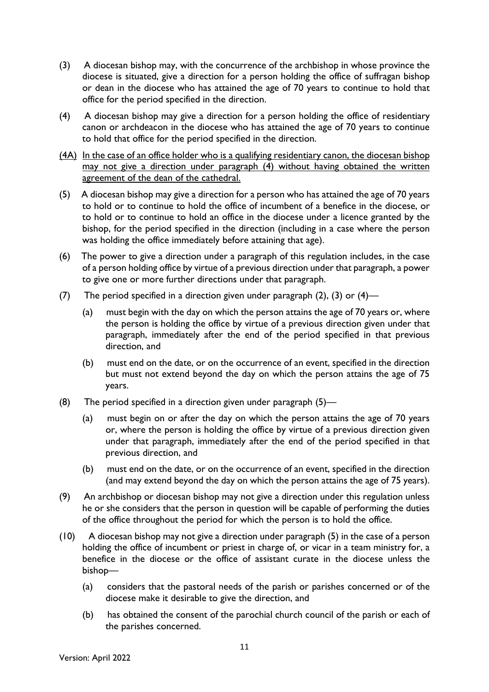- (3) A diocesan bishop may, with the concurrence of the archbishop in whose province the diocese is situated, give a direction for a person holding the office of suffragan bishop or dean in the diocese who has attained the age of 70 years to continue to hold that office for the period specified in the direction.
- (4) A diocesan bishop may give a direction for a person holding the office of residentiary canon or archdeacon in the diocese who has attained the age of 70 years to continue to hold that office for the period specified in the direction.
- (4A) In the case of an office holder who is a qualifying residentiary canon, the diocesan bishop may not give a direction under paragraph (4) without having obtained the written agreement of the dean of the cathedral.
- (5) A diocesan bishop may give a direction for a person who has attained the age of 70 years to hold or to continue to hold the office of incumbent of a benefice in the diocese, or to hold or to continue to hold an office in the diocese under a licence granted by the bishop, for the period specified in the direction (including in a case where the person was holding the office immediately before attaining that age).
- (6) The power to give a direction under a paragraph of this regulation includes, in the case of a person holding office by virtue of a previous direction under that paragraph, a power to give one or more further directions under that paragraph.
- (7) The period specified in a direction given under paragraph (2), (3) or (4)—
	- (a) must begin with the day on which the person attains the age of 70 years or, where the person is holding the office by virtue of a previous direction given under that paragraph, immediately after the end of the period specified in that previous direction, and
	- (b) must end on the date, or on the occurrence of an event, specified in the direction but must not extend beyond the day on which the person attains the age of 75 years.
- (8) The period specified in a direction given under paragraph (5)—
	- (a) must begin on or after the day on which the person attains the age of 70 years or, where the person is holding the office by virtue of a previous direction given under that paragraph, immediately after the end of the period specified in that previous direction, and
	- (b) must end on the date, or on the occurrence of an event, specified in the direction (and may extend beyond the day on which the person attains the age of 75 years).
- (9) An archbishop or diocesan bishop may not give a direction under this regulation unless he or she considers that the person in question will be capable of performing the duties of the office throughout the period for which the person is to hold the office.
- (10) A diocesan bishop may not give a direction under paragraph (5) in the case of a person holding the office of incumbent or priest in charge of, or vicar in a team ministry for, a benefice in the diocese or the office of assistant curate in the diocese unless the bishop—
	- (a) considers that the pastoral needs of the parish or parishes concerned or of the diocese make it desirable to give the direction, and
	- (b) has obtained the consent of the parochial church council of the parish or each of the parishes concerned.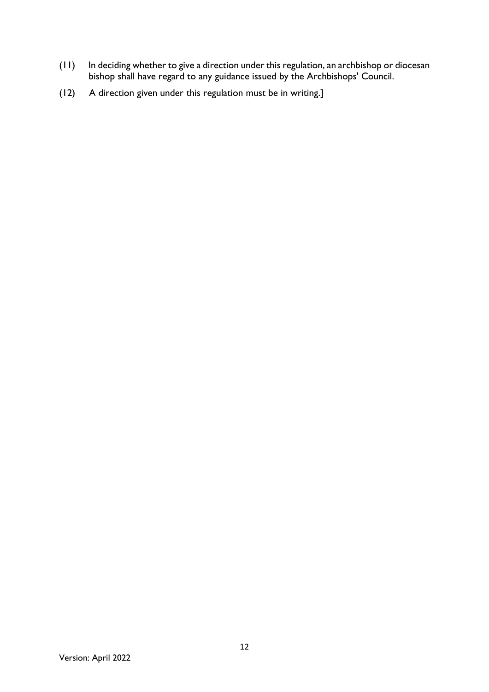- (11) In deciding whether to give a direction under this regulation, an archbishop or diocesan bishop shall have regard to any guidance issued by the Archbishops' Council.
- (12) A direction given under this regulation must be in writing.]